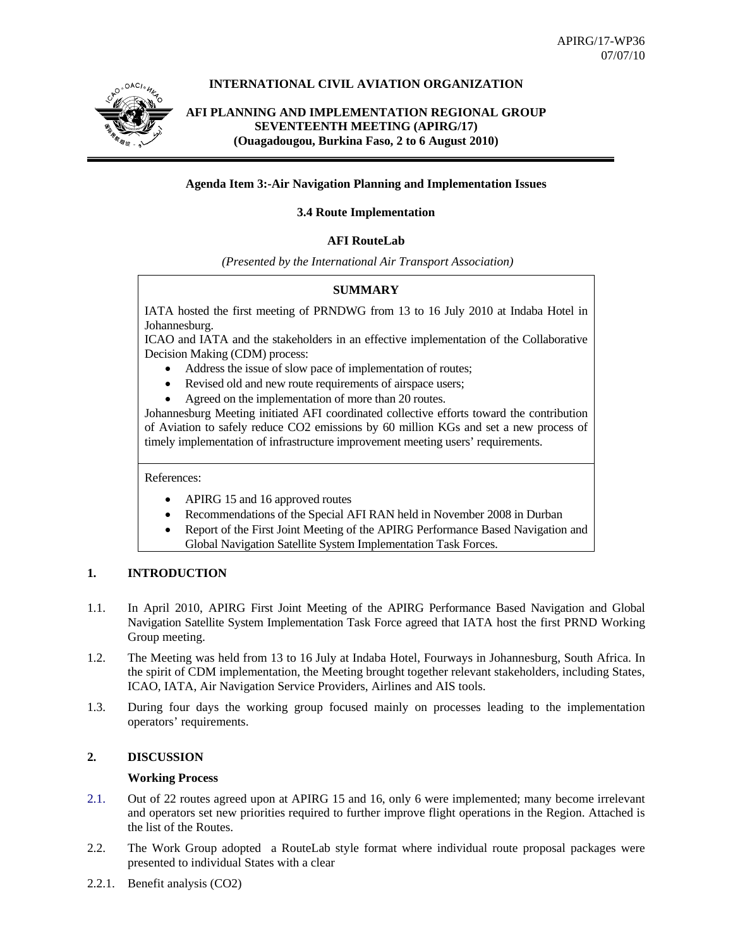

# **INTERNATIONAL CIVIL AVIATION ORGANIZATION**

# **AFI PLANNING AND IMPLEMENTATION REGIONAL GROUP SEVENTEENTH MEETING (APIRG/17) (Ouagadougou, Burkina Faso, 2 to 6 August 2010)**

## **Agenda Item 3:-Air Navigation Planning and Implementation Issues**

### **3.4 Route Implementation**

# **AFI RouteLab**

 *(Presented by the International Air Transport Association)* 

# **SUMMARY**

IATA hosted the first meeting of PRNDWG from 13 to 16 July 2010 at Indaba Hotel in Johannesburg.

ICAO and IATA and the stakeholders in an effective implementation of the Collaborative Decision Making (CDM) process:

- Address the issue of slow pace of implementation of routes;
- Revised old and new route requirements of airspace users;
- Agreed on the implementation of more than 20 routes.

Johannesburg Meeting initiated AFI coordinated collective efforts toward the contribution of Aviation to safely reduce CO2 emissions by 60 million KGs and set a new process of timely implementation of infrastructure improvement meeting users' requirements.

References:

- APIRG 15 and 16 approved routes
- Recommendations of the Special AFI RAN held in November 2008 in Durban
- Report of the First Joint Meeting of the APIRG Performance Based Navigation and
- Global Navigation Satellite System Implementation Task Forces.

# **1. INTRODUCTION**

- 1.1. In April 2010, APIRG First Joint Meeting of the APIRG Performance Based Navigation and Global Navigation Satellite System Implementation Task Force agreed that IATA host the first PRND Working Group meeting.
- 1.2. The Meeting was held from 13 to 16 July at Indaba Hotel, Fourways in Johannesburg, South Africa. In the spirit of CDM implementation, the Meeting brought together relevant stakeholders, including States, ICAO, IATA, Air Navigation Service Providers, Airlines and AIS tools.
- 1.3. During four days the working group focused mainly on processes leading to the implementation operators' requirements.

# **2. DISCUSSION**

#### **Working Process**

- 2.1. Out of 22 routes agreed upon at APIRG 15 and 16, only 6 were implemented; many become irrelevant and operators set new priorities required to further improve flight operations in the Region. Attached is the list of the Routes.
- 2.2. The Work Group adopted a RouteLab style format where individual route proposal packages were presented to individual States with a clear
- 2.2.1. Benefit analysis (CO2)